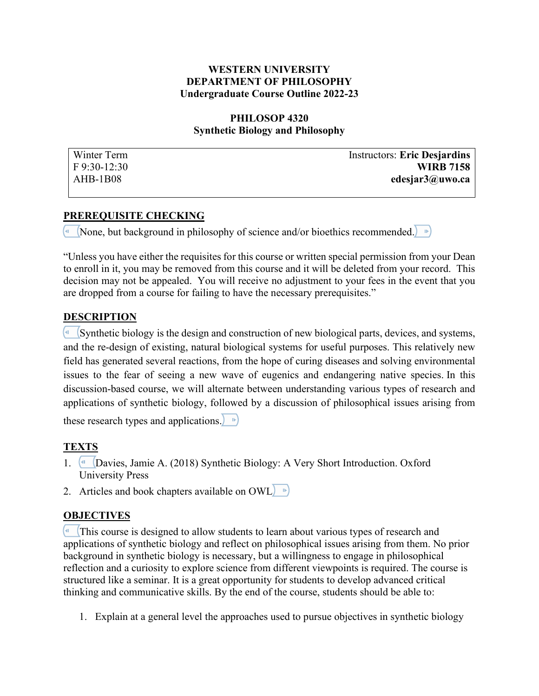#### **WESTERN UNIVERSITY DEPARTMENT OF PHILOSOPHY Undergraduate Course Outline 2022-23**

### **PHILOSOP 4320 Synthetic Biology and Philosophy**

| Winter Term    | <b>Instructors: Eric Desjardins</b> |
|----------------|-------------------------------------|
| $F$ 9:30-12:30 | <b>WIRB 7158</b>                    |
| AHB-1B08       | edesjar3@uwo.ca                     |

### **PREREQUISITE CHECKING**

 $\left($ <sup>41</sup> (None, but background in philosophy of science and/or bioethics recommended.)  $\left( \cdot \right)$ 

"Unless you have either the requisites for this course or written special permission from your Dean to enroll in it, you may be removed from this course and it will be deleted from your record. This decision may not be appealed. You will receive no adjustment to your fees in the event that you are dropped from a course for failing to have the necessary prerequisites."

### **DESCRIPTION**

 $\left($ <sup> $\blacksquare$ </sup> (Synthetic biology is the design and construction of new biological parts, devices, and systems, and the re-design of existing, natural biological systems for useful purposes. This relatively new field has generated several reactions, from the hope of curing diseases and solving environmental issues to the fear of seeing a new wave of eugenics and endangering native species. In this discussion-based course, we will alternate between understanding various types of research and applications of synthetic biology, followed by a discussion of philosophical issues arising from

these research types and applications.  $\blacktriangleright$ 

## **TEXTS**

- 1. Davies, Jamie A. (2018) Synthetic Biology: A Very Short Introduction. Oxford University Press
- 2. Articles and book chapters available on OWL

## **OBJECTIVES**

 $\left($ <sup>4</sup> This course is designed to allow students to learn about various types of research and applications of synthetic biology and reflect on philosophical issues arising from them. No prior background in synthetic biology is necessary, but a willingness to engage in philosophical reflection and a curiosity to explore science from different viewpoints is required. The course is structured like a seminar. It is a great opportunity for students to develop advanced critical thinking and communicative skills. By the end of the course, students should be able to:

1. Explain at a general level the approaches used to pursue objectives in synthetic biology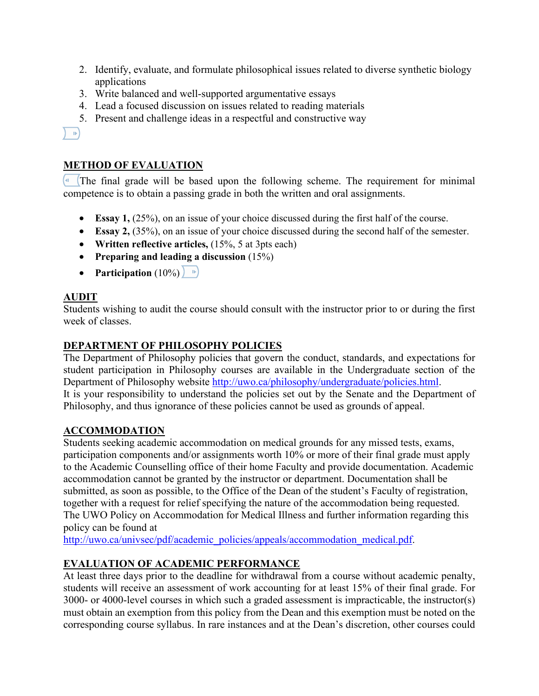- 2. Identify, evaluate, and formulate philosophical issues related to diverse synthetic biology applications
- 3. Write balanced and well-supported argumentative essays
- 4. Lead a focused discussion on issues related to reading materials
- 5. Present and challenge ideas in a respectful and constructive way

### $\left( \begin{array}{c} \end{array} \right)$

# **METHOD OF EVALUATION**

 The final grade will be based upon the following scheme. The requirement for minimal competence is to obtain a passing grade in both the written and oral assignments.

- **Essay 1,** (25%), on an issue of your choice discussed during the first half of the course.
- **Essay 2,** (35%), on an issue of your choice discussed during the second half of the semester.
- **Written reflective articles,** (15%, 5 at 3pts each)
- **Preparing and leading a discussion** (15%)
- **Participation**  $(10\%)$   $\rightarrow$

# **AUDIT**

Students wishing to audit the course should consult with the instructor prior to or during the first week of classes.

## **DEPARTMENT OF PHILOSOPHY POLICIES**

The Department of Philosophy policies that govern the conduct, standards, and expectations for student participation in Philosophy courses are available in the Undergraduate section of the Department of Philosophy website [http://uwo.ca/philosophy/undergraduate/policies.html.](http://uwo.ca/philosophy/undergraduate/policies.html) It is your responsibility to understand the policies set out by the Senate and the Department of Philosophy, and thus ignorance of these policies cannot be used as grounds of appeal.

## **ACCOMMODATION**

Students seeking academic accommodation on medical grounds for any missed tests, exams, participation components and/or assignments worth 10% or more of their final grade must apply to the Academic Counselling office of their home Faculty and provide documentation. Academic accommodation cannot be granted by the instructor or department. Documentation shall be submitted, as soon as possible, to the Office of the Dean of the student's Faculty of registration, together with a request for relief specifying the nature of the accommodation being requested. The UWO Policy on Accommodation for Medical Illness and further information regarding this policy can be found at

[http://uwo.ca/univsec/pdf/academic\\_policies/appeals/accommodation\\_medical.pdf.](http://uwo.ca/univsec/pdf/academic_policies/appeals/accommodation_medical.pdf)

# **EVALUATION OF ACADEMIC PERFORMANCE**

At least three days prior to the deadline for withdrawal from a course without academic penalty, students will receive an assessment of work accounting for at least 15% of their final grade. For 3000- or 4000-level courses in which such a graded assessment is impracticable, the instructor(s) must obtain an exemption from this policy from the Dean and this exemption must be noted on the corresponding course syllabus. In rare instances and at the Dean's discretion, other courses could